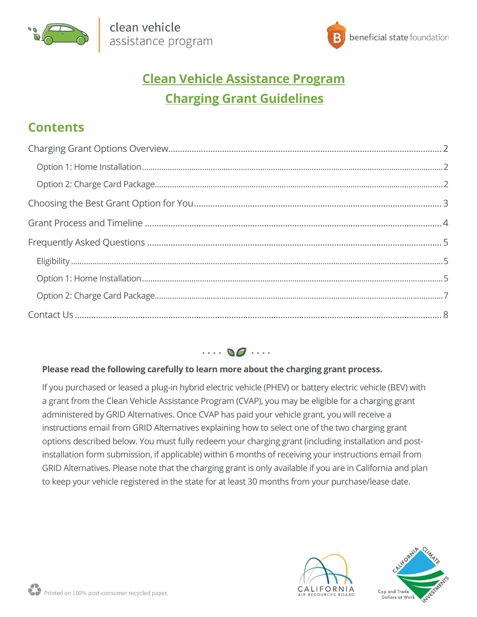



# **Clean Vehicle Assistance Program Charging Grant Guidelines**

# **Contents**



## **Please read the following carefully to learn more about the charging grant process.**

If you purchased or leased a plug-in hybrid electric vehicle (PHEV) or battery electric vehicle (BEV) with a grant from the Clean Vehicle Assistance Program (CVAP), you may be eligible for a charging grant administered by GRID Alternatives. Once CVAP has paid your vehicle grant, you will receive a instructions email from GRID Alternatives explaining how to select one of the two charging grant options described below. You must fully redeem your charging grant (including installation and postinstallation form submission, if applicable) within 6 months of receiving your instructions email from GRID Alternatives. Please note that the charging grant is only available if you are in California and plan to keep your vehicle registered in the state for at least 30 months from your purchase/lease date.



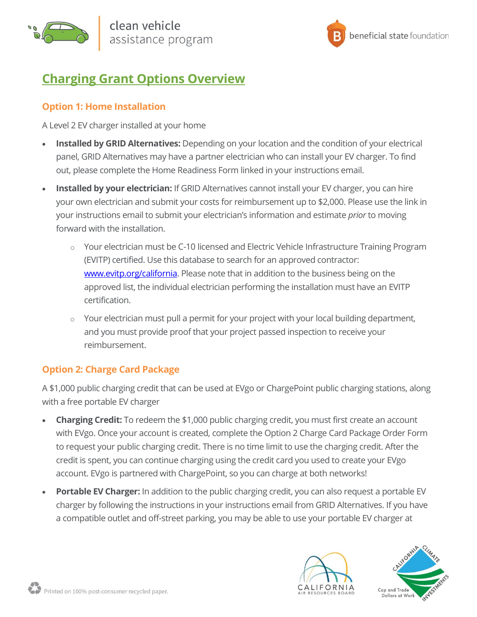



# <span id="page-1-0"></span>**Charging Grant Options Overview**

# <span id="page-1-1"></span>**Option 1: Home Installation**

A Level 2 EV charger installed at your home

- **Installed by GRID Alternatives:** Depending on your location and the condition of your electrical panel, GRID Alternatives may have a partner electrician who can install your EV charger. To find out, please complete the Home Readiness Form linked in your instructions email.
- **Installed by your electrician:** If GRID Alternatives cannot install your EV charger, you can hire your own electrician and submit your costs for reimbursement up to \$2,000. Please use the link in your instructions email to submit your electrician's information and estimate *prior* to moving forward with the installation.
	- o Your electrician must be C-10 licensed and Electric Vehicle Infrastructure Training Program (EVITP) certified. Use this database to search for an approved contractor: [www.evitp.org/california.](http://www.evitp.org/california) Please note that in addition to the business being on the approved list, the individual electrician performing the installation must have an EVITP certification.
	- $\circ$  Your electrician must pull a permit for your project with your local building department, and you must provide proof that your project passed inspection to receive your reimbursement.

# <span id="page-1-2"></span>**Option 2: Charge Card Package**

A \$1,000 public charging credit that can be used at EVgo or ChargePoint public charging stations, along with a free portable EV charger

- **Charging Credit:** To redeem the \$1,000 public charging credit, you must first create an account with EVgo. Once your account is created, complete the Option 2 Charge Card Package Order Form to request your public charging credit. There is no time limit to use the charging credit. After the credit is spent, you can continue charging using the credit card you used to create your EVgo account. EVgo is partnered with ChargePoint, so you can charge at both networks!
- **Portable EV Charger:** In addition to the public charging credit, you can also request a portable EV charger by following the instructions in your instructions email from GRID Alternatives. If you have a compatible outlet and off-street parking, you may be able to use your portable EV charger at



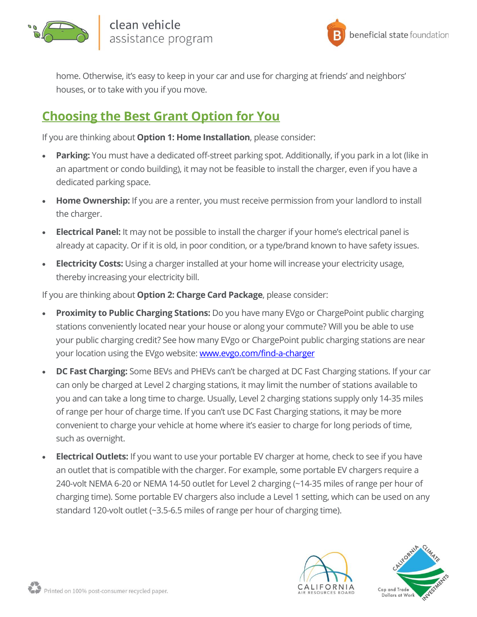



home. Otherwise, it's easy to keep in your car and use for charging at friends' and neighbors' houses, or to take with you if you move.

# <span id="page-2-0"></span>**Choosing the Best Grant Option for You**

If you are thinking about **Option 1: Home Installation**, please consider:

- **Parking:** You must have a dedicated off-street parking spot. Additionally, if you park in a lot (like in an apartment or condo building), it may not be feasible to install the charger, even if you have a dedicated parking space.
- **Home Ownership:** If you are a renter, you must receive permission from your landlord to install the charger.
- **Electrical Panel:** It may not be possible to install the charger if your home's electrical panel is already at capacity. Or if it is old, in poor condition, or a type/brand known to have safety issues.
- **Electricity Costs:** Using a charger installed at your home will increase your electricity usage, thereby increasing your electricity bill.

If you are thinking about **Option 2: Charge Card Package**, please consider:

- **Proximity to Public Charging Stations:** Do you have many EVgo or ChargePoint public charging stations conveniently located near your house or along your commute? Will you be able to use your public charging credit? See how many EVgo or ChargePoint public charging stations are near your location using the EVgo website: [www.evgo.com/find-a-charger](http://www.evgo.com/find-a-charger)
- **DC Fast Charging:** Some BEVs and PHEVs can't be charged at DC Fast Charging stations. If your car can only be charged at Level 2 charging stations, it may limit the number of stations available to you and can take a long time to charge. Usually, Level 2 charging stations supply only 14-35 miles of range per hour of charge time. If you can't use DC Fast Charging stations, it may be more convenient to charge your vehicle at home where it's easier to charge for long periods of time, such as overnight.
- **Electrical Outlets:** If you want to use your portable EV charger at home, check to see if you have an outlet that is compatible with the charger. For example, some portable EV chargers require a 240-volt NEMA 6-20 or NEMA 14-50 outlet for Level 2 charging (~14-35 miles of range per hour of charging time). Some portable EV chargers also include a Level 1 setting, which can be used on any standard 120-volt outlet (~3.5-6.5 miles of range per hour of charging time).



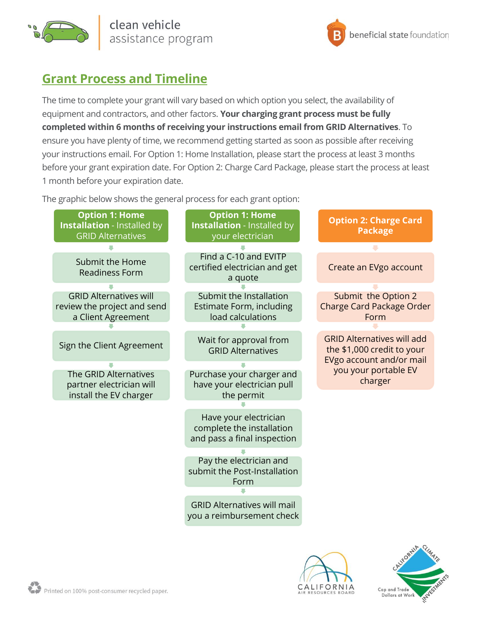

clean vehicle assistance program



# <span id="page-3-0"></span>**Grant Process and Timeline**

The time to complete your grant will vary based on which option you select, the availability of equipment and contractors, and other factors. **Your charging grant process must be fully completed within 6 months of receiving your instructions email from GRID Alternatives**. To ensure you have plenty of time, we recommend getting started as soon as possible after receiving your instructions email. For Option 1: Home Installation, please start the process at least 3 months before your grant expiration date. For Option 2: Charge Card Package, please start the process at least 1 month before your expiration date.

The graphic below shows the general process for each grant option:





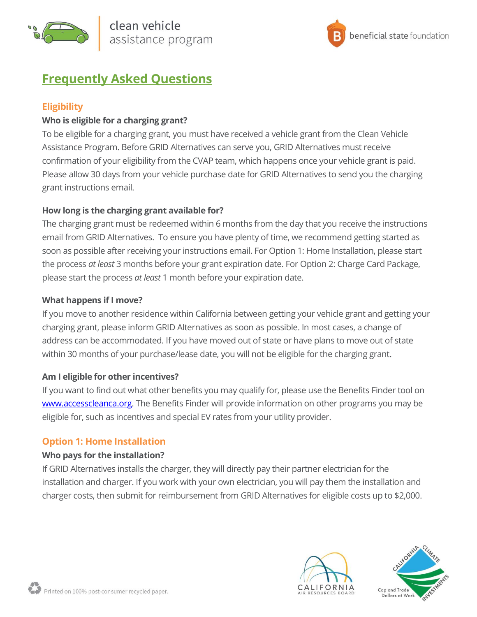



# <span id="page-4-0"></span>**Frequently Asked Questions**

# <span id="page-4-1"></span>**Eligibility**

## **Who is eligible for a charging grant?**

To be eligible for a charging grant, you must have received a vehicle grant from the Clean Vehicle Assistance Program. Before GRID Alternatives can serve you, GRID Alternatives must receive confirmation of your eligibility from the CVAP team, which happens once your vehicle grant is paid. Please allow 30 days from your vehicle purchase date for GRID Alternatives to send you the charging grant instructions email.

## **How long is the charging grant available for?**

The charging grant must be redeemed within 6 months from the day that you receive the instructions email from GRID Alternatives. To ensure you have plenty of time, we recommend getting started as soon as possible after receiving your instructions email. For Option 1: Home Installation, please start the process *at least* 3 months before your grant expiration date. For Option 2: Charge Card Package, please start the process *at least* 1 month before your expiration date.

#### **What happens if I move?**

If you move to another residence within California between getting your vehicle grant and getting your charging grant, please inform GRID Alternatives as soon as possible. In most cases, a change of address can be accommodated. If you have moved out of state or have plans to move out of state within 30 months of your purchase/lease date, you will not be eligible for the charging grant.

## **Am I eligible for other incentives?**

If you want to find out what other benefits you may qualify for, please use the Benefits Finder tool on [www.accesscleanca.org.](http://www.accesscleanca.org/) The Benefits Finder will provide information on other programs you may be eligible for, such as incentives and special EV rates from your utility provider.

## <span id="page-4-2"></span>**Option 1: Home Installation**

#### **Who pays for the installation?**

If GRID Alternatives installs the charger, they will directly pay their partner electrician for the installation and charger. If you work with your own electrician, you will pay them the installation and charger costs, then submit for reimbursement from GRID Alternatives for eligible costs up to \$2,000.



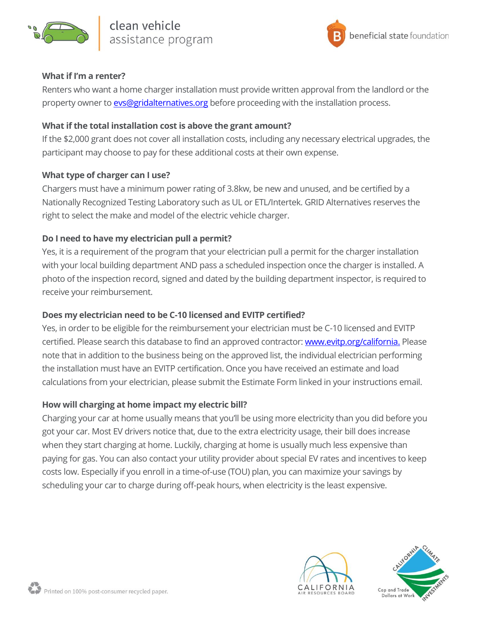



#### **What if I'm a renter?**

Renters who want a home charger installation must provide written approval from the landlord or the property owner to **evs@gridalternatives.org** before proceeding with the installation process.

#### **What if the total installation cost is above the grant amount?**

If the \$2,000 grant does not cover all installation costs, including any necessary electrical upgrades, the participant may choose to pay for these additional costs at their own expense.

## **What type of charger can I use?**

Chargers must have a minimum power rating of 3.8kw, be new and unused, and be certified by a Nationally Recognized Testing Laboratory such as UL or ETL/Intertek. GRID Alternatives reserves the right to select the make and model of the electric vehicle charger.

## **Do I need to have my electrician pull a permit?**

Yes, it is a requirement of the program that your electrician pull a permit for the charger installation with your local building department AND pass a scheduled inspection once the charger is installed. A photo of the inspection record, signed and dated by the building department inspector, is required to receive your reimbursement.

## **Does my electrician need to be C-10 licensed and EVITP certified?**

Yes, in order to be eligible for the reimbursement your electrician must be C-10 licensed and EVITP certified. Please search this database to find an approved contractor[: www.evitp.org/california.](http://www.evitp.org/california) Please note that in addition to the business being on the approved list, the individual electrician performing the installation must have an EVITP certification. Once you have received an estimate and load calculations from your electrician, please submit the Estimate Form linked in your instructions email.

#### **How will charging at home impact my electric bill?**

Charging your car at home usually means that you'll be using more electricity than you did before you got your car. Most EV drivers notice that, due to the extra electricity usage, their bill does increase when they start charging at home. Luckily, charging at home is usually much less expensive than paying for gas. You can also contact your utility provider about special EV rates and incentives to keep costs low. Especially if you enroll in a time-of-use (TOU) plan, you can maximize your savings by scheduling your car to charge during off-peak hours, when electricity is the least expensive.



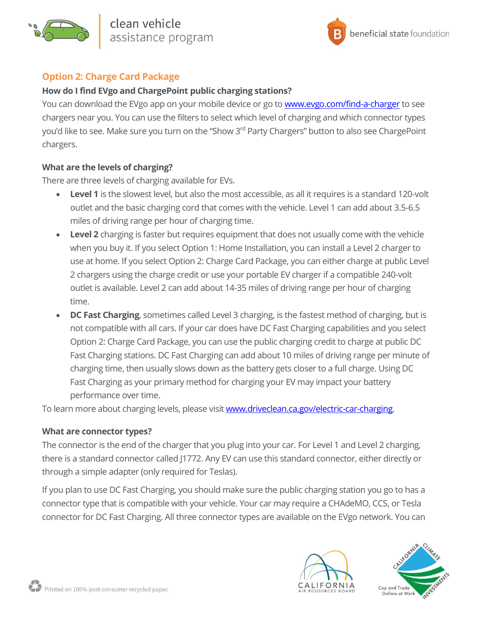



## <span id="page-6-0"></span>**Option 2: Charge Card Package**

### **How do I find EVgo and ChargePoint public charging stations?**

You can download the EVgo app on your mobile device or go to **www.evgo.com/find-a-charger** to see chargers near you. You can use the filters to select which level of charging and which connector types you'd like to see. Make sure you turn on the "Show 3<sup>rd</sup> Party Chargers" button to also see ChargePoint chargers.

#### **What are the levels of charging?**

There are three levels of charging available for EVs.

- Level 1 is the slowest level, but also the most accessible, as all it requires is a standard 120-volt outlet and the basic charging cord that comes with the vehicle. Level 1 can add about 3.5-6.5 miles of driving range per hour of charging time.
- **Level 2** charging is faster but requires equipment that does not usually come with the vehicle when you buy it. If you select Option 1: Home Installation, you can install a Level 2 charger to use at home. If you select Option 2: Charge Card Package, you can either charge at public Level 2 chargers using the charge credit or use your portable EV charger if a compatible 240-volt outlet is available. Level 2 can add about 14-35 miles of driving range per hour of charging time.
- **DC Fast Charging**, sometimes called Level 3 charging, is the fastest method of charging, but is not compatible with all cars. If your car does have DC Fast Charging capabilities and you select Option 2: Charge Card Package, you can use the public charging credit to charge at public DC Fast Charging stations. DC Fast Charging can add about 10 miles of driving range per minute of charging time, then usually slows down as the battery gets closer to a full charge. Using DC Fast Charging as your primary method for charging your EV may impact your battery performance over time.

To learn more about charging levels, please visit **www.driveclean.ca.gov/electric-car-charging**.

#### **What are connector types?**

The connector is the end of the charger that you plug into your car. For Level 1 and Level 2 charging, there is a standard connector called J1772. Any EV can use this standard connector, either directly or through a simple adapter (only required for Teslas).

If you plan to use DC Fast Charging, you should make sure the public charging station you go to has a connector type that is compatible with your vehicle. Your car may require a CHAdeMO, CCS, or Tesla connector for DC Fast Charging. All three connector types are available on the EVgo network. You can